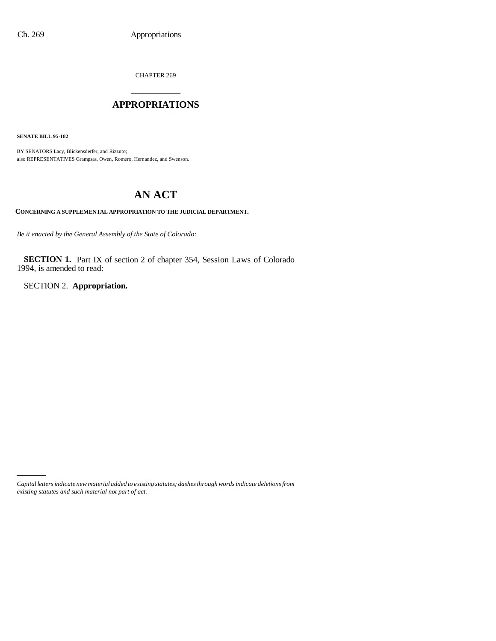CHAPTER 269

# \_\_\_\_\_\_\_\_\_\_\_\_\_\_\_ **APPROPRIATIONS** \_\_\_\_\_\_\_\_\_\_\_\_\_\_\_

**SENATE BILL 95-182**

BY SENATORS Lacy, Blickensderfer, and Rizzuto; also REPRESENTATIVES Grampsas, Owen, Romero, Hernandez, and Swenson.

# **AN ACT**

**CONCERNING A SUPPLEMENTAL APPROPRIATION TO THE JUDICIAL DEPARTMENT.**

*Be it enacted by the General Assembly of the State of Colorado:*

**SECTION 1.** Part IX of section 2 of chapter 354, Session Laws of Colorado 1994, is amended to read:

SECTION 2. **Appropriation.**

*Capital letters indicate new material added to existing statutes; dashes through words indicate deletions from existing statutes and such material not part of act.*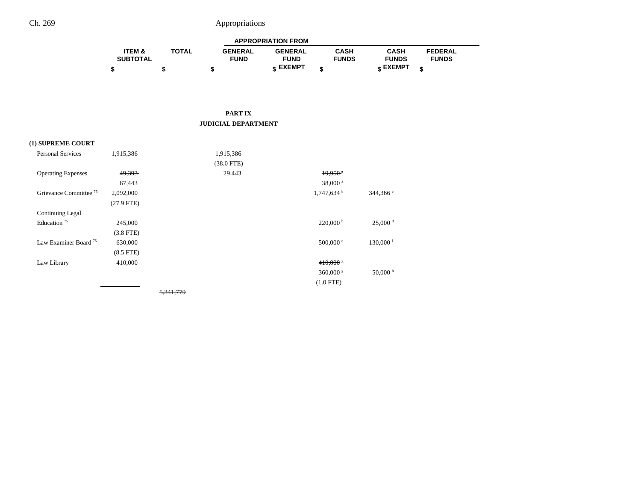| <b>APPROPRIATION FROM</b> |              |                |                |              |              |                |  |
|---------------------------|--------------|----------------|----------------|--------------|--------------|----------------|--|
| <b>ITEM &amp;</b>         | <b>TOTAL</b> | <b>GENERAL</b> | <b>GENERAL</b> | CASH         | CASH         | <b>FEDERAL</b> |  |
| <b>SUBTOTAL</b>           |              | <b>FUND</b>    | <b>FUND</b>    | <b>FUNDS</b> | <b>FUNDS</b> | <b>FUNDS</b>   |  |
|                           |              |                | c EXEMPT       |              | e EXEMPT ه   |                |  |

#### **PART IX JUDICIAL DEPARTMENT**

## **(1) SUPREME COURT**

| <b>Personal Services</b>          | 1,915,386      | 1,915,386    |                         |                       |
|-----------------------------------|----------------|--------------|-------------------------|-----------------------|
|                                   |                | $(38.0$ FTE) |                         |                       |
| <b>Operating Expenses</b>         | 49,393         | 29,443       | $19,950$ <sup>*</sup>   |                       |
|                                   | 67,443         |              | 38,000 <sup>a</sup>     |                       |
| Grievance Committee <sup>75</sup> | 2,092,000      |              | 1,747,634 <sup>b</sup>  | $344,366$ c           |
|                                   | $(27.9$ FTE)   |              |                         |                       |
| Continuing Legal                  |                |              |                         |                       |
| Education <sup>75</sup>           | 245,000        |              | $220,000^{\mathrm{b}}$  | $25,000$ <sup>d</sup> |
|                                   | $(3.8$ FTE)    |              |                         |                       |
| Law Examiner Board <sup>75</sup>  | 630,000        |              | $500,000$ e             | $130,000$ f           |
|                                   | $(8.5$ FTE $)$ |              |                         |                       |
| Law Library                       | 410,000        |              | $410,000$ $\frac{8}{5}$ |                       |
|                                   |                |              | $360,000$ g             | $50,000$ h            |
|                                   |                |              | $(1.0$ FTE)             |                       |
|                                   |                |              |                         |                       |

5,341,779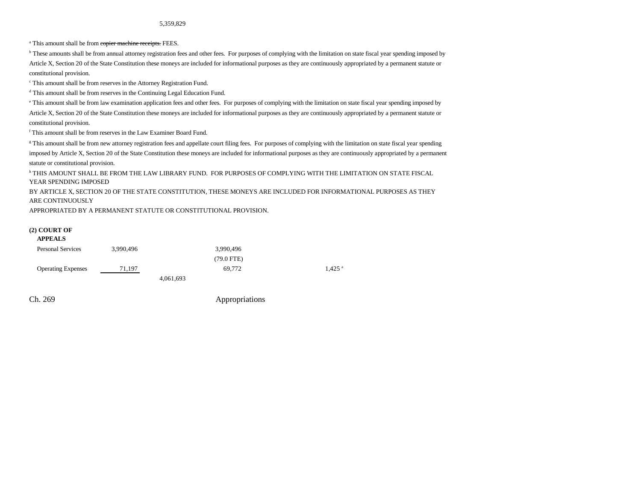<sup>a</sup> This amount shall be from **copier machine receipts**. FEES.

**b** These amounts shall be from annual attorney registration fees and other fees. For purposes of complying with the limitation on state fiscal year spending imposed by Article X, Section 20 of the State Constitution these moneys are included for informational purposes as they are continuously appropriated by a permanent statute or constitutional provision.

c This amount shall be from reserves in the Attorney Registration Fund.

d This amount shall be from reserves in the Continuing Legal Education Fund.

e This amount shall be from law examination application fees and other fees. For purposes of complying with the limitation on state fiscal year spending imposed by Article X, Section 20 of the State Constitution these moneys are included for informational purposes as they are continuously appropriated by a permanent statute or constitutional provision.

f This amount shall be from reserves in the Law Examiner Board Fund.

<sup>g</sup> This amount shall be from new attorney registration fees and appellate court filing fees. For purposes of complying with the limitation on state fiscal year spending imposed by Article X, Section 20 of the State Constitution these moneys are included for informational purposes as they are continuously appropriated by a permanent statute or constitutional provision.

h THIS AMOUNT SHALL BE FROM THE LAW LIBRARY FUND. FOR PURPOSES OF COMPLYING WITH THE LIMITATION ON STATE FISCAL YEAR SPENDING IMPOSED

BY ARTICLE X, SECTION 20 OF THE STATE CONSTITUTION, THESE MONEYS ARE INCLUDED FOR INFORMATIONAL PURPOSES AS THEY ARE CONTINUOUSLY

APPROPRIATED BY A PERMANENT STATUTE OR CONSTITUTIONAL PROVISION.

#### **(2) COURT OF APPEALS**

| <b>APPEALS</b>            |           |              |                      |
|---------------------------|-----------|--------------|----------------------|
| <b>Personal Services</b>  | 3.990.496 | 3,990,496    |                      |
|                           |           | $(79.0$ FTE) |                      |
| <b>Operating Expenses</b> | 71.197    | 69.772       | $1.425$ <sup>a</sup> |
|                           |           | 4,061,693    |                      |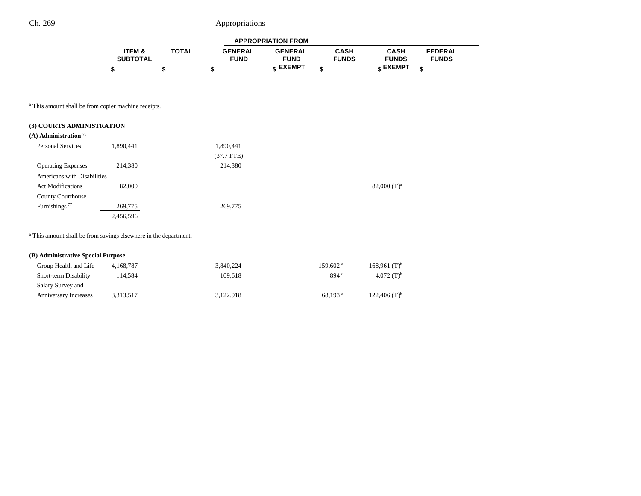|                 |              |                | <b>APPROPRIATION FROM</b> |              |              |                |
|-----------------|--------------|----------------|---------------------------|--------------|--------------|----------------|
| ITEM &          | <b>TOTAL</b> | <b>GENERAL</b> | <b>GENERAL</b>            | CASH         | <b>CASH</b>  | <b>FEDERAL</b> |
| <b>SUBTOTAL</b> |              | <b>FUND</b>    | <b>FUND</b>               | <b>FUNDS</b> | <b>FUNDS</b> | <b>FUNDS</b>   |
|                 |              |                | <b>« EXEMPT</b>           |              | e EXEMPT ہ   |                |

a This amount shall be from copier machine receipts.

| (3) COURTS ADMINISTRATION<br>(A) Administration $76$ |           |              |                |
|------------------------------------------------------|-----------|--------------|----------------|
| <b>Personal Services</b>                             | 1,890,441 | 1,890,441    |                |
|                                                      |           | $(37.7$ FTE) |                |
| <b>Operating Expenses</b>                            | 214,380   | 214,380      |                |
| Americans with Disabilities                          |           |              |                |
| <b>Act Modifications</b>                             | 82,000    |              | 82,000 $(T)^a$ |
| <b>County Courthouse</b>                             |           |              |                |
| Furnishings <sup>77</sup>                            | 269,775   | 269,775      |                |
|                                                      | 2,456,596 |              |                |

a This amount shall be from savings elsewhere in the department.

## **(B) Administrative Special Purpose**

| Group Health and Life        | 4.168.787 | 3.840.224 | $159.602$ <sup>a</sup> | $168,961$ (T) <sup>b</sup> |
|------------------------------|-----------|-----------|------------------------|----------------------------|
| <b>Short-term Disability</b> | 14.584    | 109.618   | 894 <sup>c</sup>       | 4.072 $(T)^b$              |
| Salary Survey and            |           |           |                        |                            |
| <b>Anniversary Increases</b> | 3.313.517 | 3.122.918 | $68.193$ <sup>a</sup>  | $122.406$ (T) <sup>b</sup> |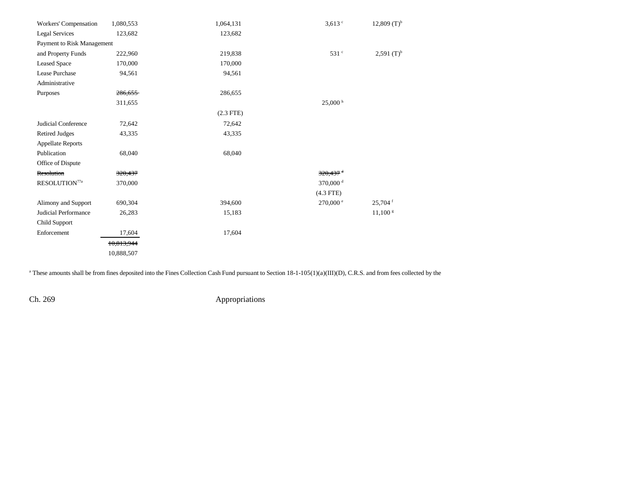| Workers' Compensation      | 1,080,553  | 1,064,131   | $3,613$ $\degree$      | $12,809$ (T) <sup>b</sup> |
|----------------------------|------------|-------------|------------------------|---------------------------|
| Legal Services             | 123,682    | 123,682     |                        |                           |
| Payment to Risk Management |            |             |                        |                           |
| and Property Funds         | 222,960    | 219,838     | 531 <sup>c</sup>       | $2,591$ (T) <sup>b</sup>  |
| <b>Leased Space</b>        | 170,000    | 170,000     |                        |                           |
| Lease Purchase             | 94,561     | 94,561      |                        |                           |
| Administrative             |            |             |                        |                           |
| Purposes                   | 286,655    | 286,655     |                        |                           |
|                            | 311,655    |             | 25,000h                |                           |
|                            |            | $(2.3$ FTE) |                        |                           |
| Judicial Conference        | 72,642     | 72,642      |                        |                           |
| <b>Retired Judges</b>      | 43,335     | 43,335      |                        |                           |
| <b>Appellate Reports</b>   |            |             |                        |                           |
| Publication                | 68,040     | 68,040      |                        |                           |
| Office of Dispute          |            |             |                        |                           |
| Resolution                 | 320,437    |             | $320,437$ <sup>d</sup> |                           |
| RESOLUTION <sup>77a</sup>  | 370,000    |             | 370,000 <sup>d</sup>   |                           |
|                            |            |             | $(4.3$ FTE)            |                           |
| Alimony and Support        | 690,304    | 394,600     | $270,000$ $^{\circ}$   | $25,704$ <sup>f</sup>     |
| Judicial Performance       | 26,283     | 15,183      |                        | $11,100$ s                |
| Child Support              |            |             |                        |                           |
| Enforcement                | 17,604     | 17,604      |                        |                           |
|                            | 10,813,944 |             |                        |                           |
|                            | 10,888,507 |             |                        |                           |

<sup>a</sup> These amounts shall be from fines deposited into the Fines Collection Cash Fund pursuant to Section 18-1-105(1)(a)(III)(D), C.R.S. and from fees collected by the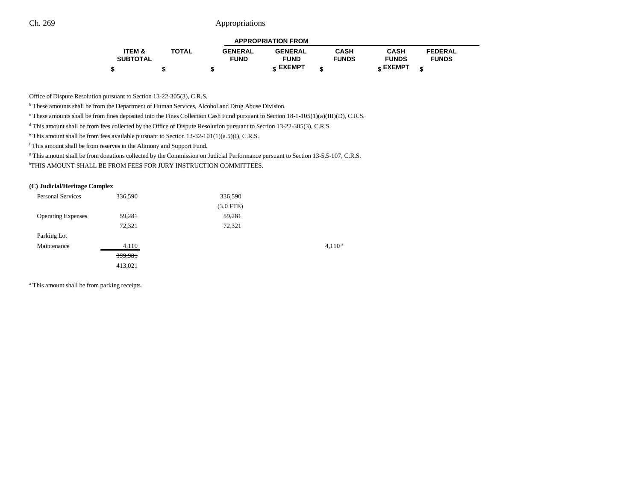| <b>APPROPRIATION FROM</b> |              |                |                 |              |                 |                |  |
|---------------------------|--------------|----------------|-----------------|--------------|-----------------|----------------|--|
| ITEM &                    | <b>TOTAL</b> | <b>GENERAL</b> | <b>GENERAL</b>  | CASH         | <b>CASH</b>     | <b>FEDERAL</b> |  |
| <b>SUBTOTAL</b>           |              | <b>FUND</b>    | <b>FUND</b>     | <b>FUNDS</b> | <b>FUNDS</b>    | <b>FUNDS</b>   |  |
|                           |              |                | <b>« EXEMPT</b> |              | <b>« EXEMPT</b> |                |  |

Office of Dispute Resolution pursuant to Section 13-22-305(3), C.R.S.

b These amounts shall be from the Department of Human Services, Alcohol and Drug Abuse Division.

<sup>c</sup> These amounts shall be from fines deposited into the Fines Collection Cash Fund pursuant to Section 18-1-105(1)(a)(III)(D), C.R.S.

<sup>d</sup> This amount shall be from fees collected by the Office of Dispute Resolution pursuant to Section 13-22-305(3), C.R.S.

e This amount shall be from fees available pursuant to Section 13-32-101(1)(a.5)(I), C.R.S.

f This amount shall be from reserves in the Alimony and Support Fund.

<sup>g</sup> This amount shall be from donations collected by the Commission on Judicial Performance pursuant to Section 13-5.5-107, C.R.S.

hTHIS AMOUNT SHALL BE FROM FEES FOR JURY INSTRUCTION COMMITTEES.

#### **(C) Judicial/Heritage Complex**

| <b>Personal Services</b>  | 336,590 | 336,590     |             |
|---------------------------|---------|-------------|-------------|
|                           |         | $(3.0$ FTE) |             |
| <b>Operating Expenses</b> | 59,281  | 59,281      |             |
|                           | 72,321  | 72,321      |             |
| Parking Lot               |         |             |             |
| Maintenance               | 4,110   |             | $4,110^{a}$ |
|                           | 399,981 |             |             |
|                           | 413,021 |             |             |
|                           |         |             |             |

<sup>a</sup> This amount shall be from parking receipts.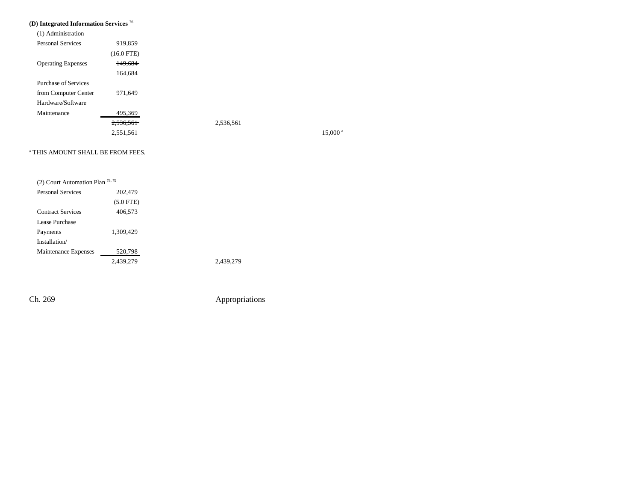# **(D) Integrated Information Services** <sup>76</sup>

| (1) Administration        |                      |           |
|---------------------------|----------------------|-----------|
| <b>Personal Services</b>  | 919,859              |           |
|                           | $(16.0$ FTE)         |           |
| <b>Operating Expenses</b> | 149.684              |           |
|                           | 164,684              |           |
| Purchase of Services      |                      |           |
| from Computer Center      | 971,649              |           |
| Hardware/Software         |                      |           |
| Maintenance               | 495,369              |           |
|                           | <del>2,536,561</del> | 2,536,561 |
|                           | 2.551.561            |           |

 $15,000$ <sup>a</sup>

#### a THIS AMOUNT SHALL BE FROM FEES.

| (2) Court Automation Plan $^{78,79}$ |             |           |
|--------------------------------------|-------------|-----------|
| <b>Personal Services</b>             | 202,479     |           |
|                                      | $(5.0$ FTE) |           |
| <b>Contract Services</b>             | 406,573     |           |
| Lease Purchase                       |             |           |
| Payments                             | 1,309,429   |           |
| Installation/                        |             |           |
| Maintenance Expenses                 | 520,798     |           |
|                                      | 2,439,279   | 2.439.279 |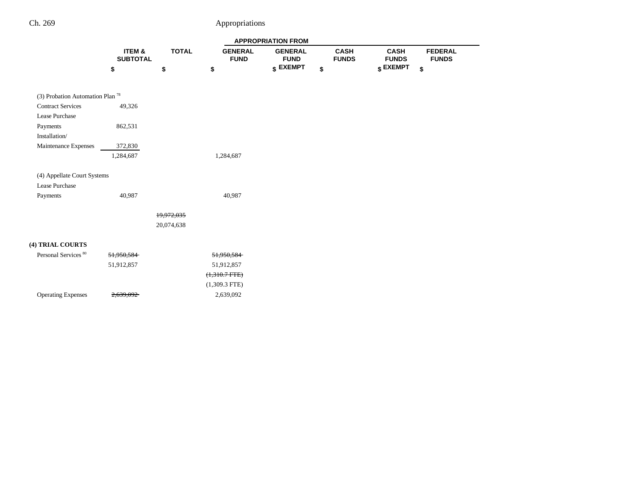|                                               |                           |              | <b>APPROPRIATION FROM</b>     |                               |                             |                             |                                |  |
|-----------------------------------------------|---------------------------|--------------|-------------------------------|-------------------------------|-----------------------------|-----------------------------|--------------------------------|--|
|                                               | ITEM &<br><b>SUBTOTAL</b> | <b>TOTAL</b> | <b>GENERAL</b><br><b>FUND</b> | <b>GENERAL</b><br><b>FUND</b> | <b>CASH</b><br><b>FUNDS</b> | <b>CASH</b><br><b>FUNDS</b> | <b>FEDERAL</b><br><b>FUNDS</b> |  |
|                                               | \$                        | \$           | \$                            | \$ EXEMPT                     | \$                          | \$ EXEMPT                   | \$                             |  |
| (3) Probation Automation Plan $^{78}$         |                           |              |                               |                               |                             |                             |                                |  |
| <b>Contract Services</b><br>Lease Purchase    | 49,326                    |              |                               |                               |                             |                             |                                |  |
| Payments<br>Installation/                     | 862,531                   |              |                               |                               |                             |                             |                                |  |
| Maintenance Expenses                          | 372,830<br>1,284,687      |              | 1,284,687                     |                               |                             |                             |                                |  |
| (4) Appellate Court Systems<br>Lease Purchase |                           |              |                               |                               |                             |                             |                                |  |
| Payments                                      | 40,987                    |              | 40,987                        |                               |                             |                             |                                |  |
|                                               |                           | 19,972,035   |                               |                               |                             |                             |                                |  |
|                                               |                           | 20,074,638   |                               |                               |                             |                             |                                |  |
| (4) TRIAL COURTS                              |                           |              |                               |                               |                             |                             |                                |  |
| Personal Services <sup>80</sup>               | 51,950,584                |              | 51,950,584                    |                               |                             |                             |                                |  |
|                                               | 51,912,857                |              | 51,912,857                    |                               |                             |                             |                                |  |
|                                               |                           |              | $(1,310.7 FTE)$               |                               |                             |                             |                                |  |
|                                               |                           |              | $(1,309.3$ FTE)               |                               |                             |                             |                                |  |
| <b>Operating Expenses</b>                     | 2,639,092                 |              | 2,639,092                     |                               |                             |                             |                                |  |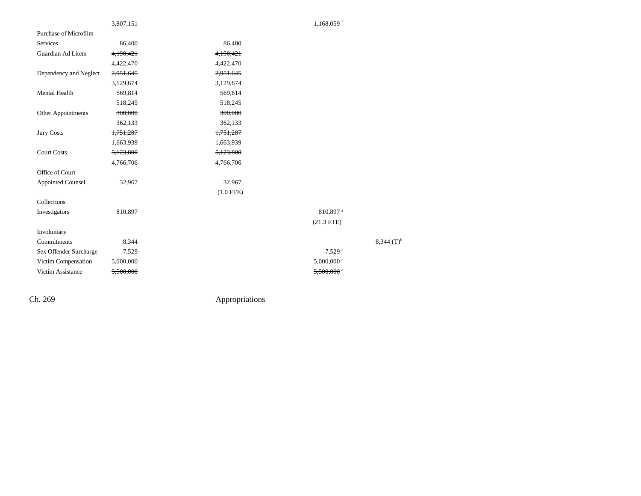|                          | 3,807,151 |             | $1,168,059$ <sup>f</sup> |
|--------------------------|-----------|-------------|--------------------------|
| Purchase of Microfilm    |           |             |                          |
| Services                 | 86,400    | 86,400      |                          |
| Guardian Ad Litem        | 4,190,421 | 4,190,421   |                          |
|                          | 4,422,470 | 4,422,470   |                          |
| Dependency and Neglect   | 2,951,645 | 2,951,645   |                          |
|                          | 3,129,674 | 3,129,674   |                          |
| Mental Health            | 569,814   | 569,814     |                          |
|                          | 518,245   | 518,245     |                          |
| Other Appointments       | 300,000   | 300,000     |                          |
|                          | 362,133   | 362,133     |                          |
| <b>Jury Costs</b>        | 1,751,287 | 1,751,287   |                          |
|                          | 1,663,939 | 1,663,939   |                          |
| <b>Court Costs</b>       | 5,123,800 | 5,123,800   |                          |
|                          | 4,766,706 | 4,766,706   |                          |
| Office of Court          |           |             |                          |
| <b>Appointed Counsel</b> | 32,967    | 32,967      |                          |
|                          |           | $(1.0$ FTE) |                          |
| Collections              |           |             |                          |
| Investigators            | 810,897   |             | 810,897 <sup>a</sup>     |
|                          |           |             | $(21.3$ FTE)             |
| Involuntary              |           |             |                          |
| Commitments              | 8,344     |             | $8,344$ (T) <sup>b</sup> |
| Sex Offender Surcharge   | 7,529     |             | $7,529$ $\circ$          |
| Victim Compensation      | 5,000,000 |             | 5,000,000 <sup>d</sup>   |
| Victim Assistance        | 5,500,000 |             | $5,500,000$ $\circ$      |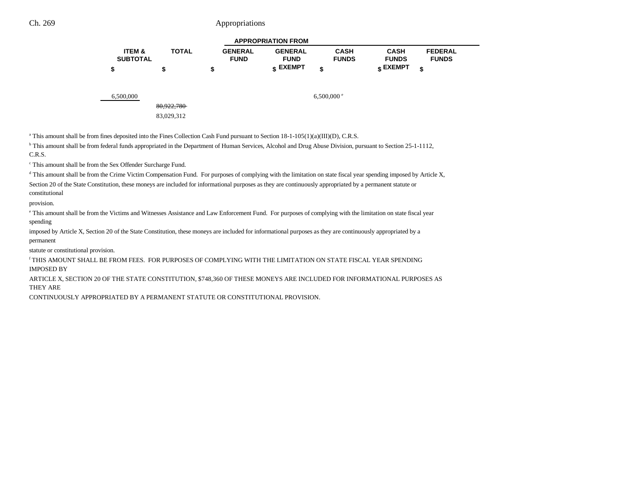| <b>APPROPRIATION FROM</b> |              |                |                 |              |                 |                |  |  |
|---------------------------|--------------|----------------|-----------------|--------------|-----------------|----------------|--|--|
| <b>ITEM &amp;</b>         | <b>TOTAL</b> | <b>GENERAL</b> | <b>GENERAL</b>  | <b>CASH</b>  | <b>CASH</b>     | <b>FEDERAL</b> |  |  |
| <b>SUBTOTAL</b>           |              | <b>FUND</b>    | <b>FUND</b>     | <b>FUNDS</b> | <b>FUNDS</b>    | <b>FUNDS</b>   |  |  |
|                           |              |                | <b>« EXEMPT</b> |              | <b>e EXEMPT</b> |                |  |  |

6,500,000 6,500,000  $6.500,000$   $6.500,000$   $6.500,000$   $6.500,000$ 

a This amount shall be from fines deposited into the Fines Collection Cash Fund pursuant to Section 18-1-105(1)(a)(III)(D), C.R.S.

80,922,780 83,029,312

<sup>b</sup> This amount shall be from federal funds appropriated in the Department of Human Services, Alcohol and Drug Abuse Division, pursuant to Section 25-1-1112, C.R.S.

c This amount shall be from the Sex Offender Surcharge Fund.

d This amount shall be from the Crime Victim Compensation Fund. For purposes of complying with the limitation on state fiscal year spending imposed by Article X,

Section 20 of the State Constitution, these moneys are included for informational purposes as they are continuously appropriated by a permanent statute or constitutional

provision.

e This amount shall be from the Victims and Witnesses Assistance and Law Enforcement Fund. For purposes of complying with the limitation on state fiscal year

spending

imposed by Article X, Section 20 of the State Constitution, these moneys are included for informational purposes as they are continuously appropriated by a permanent

statute or constitutional provision.

f THIS AMOUNT SHALL BE FROM FEES. FOR PURPOSES OF COMPLYING WITH THE LIMITATION ON STATE FISCAL YEAR SPENDINGIMPOSED BY

ARTICLE X, SECTION 20 OF THE STATE CONSTITUTION, \$748,360 OF THESE MONEYS ARE INCLUDED FOR INFORMATIONAL PURPOSES AS THEY ARE

CONTINUOUSLY APPROPRIATED BY A PERMANENT STATUTE OR CONSTITUTIONAL PROVISION.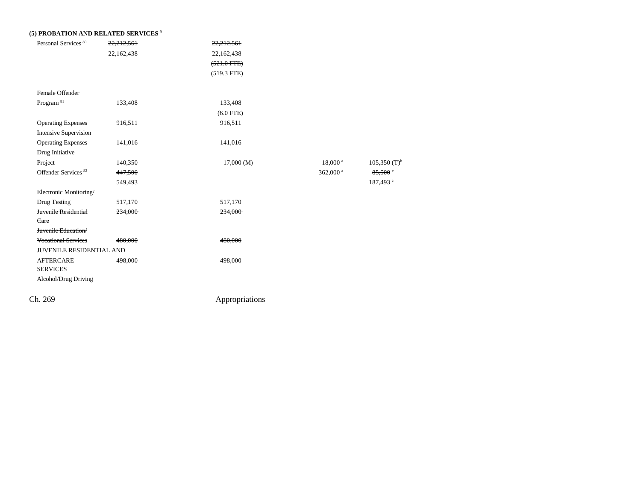| Personal Services <sup>80</sup> | 22,212,561 | 22,212,561    |                      |                            |
|---------------------------------|------------|---------------|----------------------|----------------------------|
|                                 | 22,162,438 | 22,162,438    |                      |                            |
|                                 |            | $(521.0$ FTE) |                      |                            |
|                                 |            | $(519.3$ FTE) |                      |                            |
| Female Offender                 |            |               |                      |                            |
| Program <sup>81</sup>           | 133,408    | 133,408       |                      |                            |
|                                 |            | $(6.0$ FTE)   |                      |                            |
| <b>Operating Expenses</b>       | 916,511    | 916,511       |                      |                            |
| <b>Intensive Supervision</b>    |            |               |                      |                            |
| <b>Operating Expenses</b>       | 141,016    | 141,016       |                      |                            |
| Drug Initiative                 |            |               |                      |                            |
| Project                         | 140,350    | 17,000(M)     | $18,000^{\text{ a}}$ | $105,350$ (T) <sup>b</sup> |
| Offender Services <sup>82</sup> | 447,500    |               | 362,000 <sup>a</sup> | 85,500                     |
|                                 | 549,493    |               |                      | 187,493 <sup>c</sup>       |
| Electronic Monitoring/          |            |               |                      |                            |
| Drug Testing                    | 517,170    | 517,170       |                      |                            |
| Juvenile Residential            | 234,000    | 234,000       |                      |                            |
| Care                            |            |               |                      |                            |
| Juvenile Education/             |            |               |                      |                            |
| <b>Vocational Services</b>      | 480,000    | 480,000       |                      |                            |
| JUVENILE RESIDENTIAL AND        |            |               |                      |                            |
| <b>AFTERCARE</b>                | 498,000    | 498,000       |                      |                            |
| <b>SERVICES</b>                 |            |               |                      |                            |
| Alcohol/Drug Driving            |            |               |                      |                            |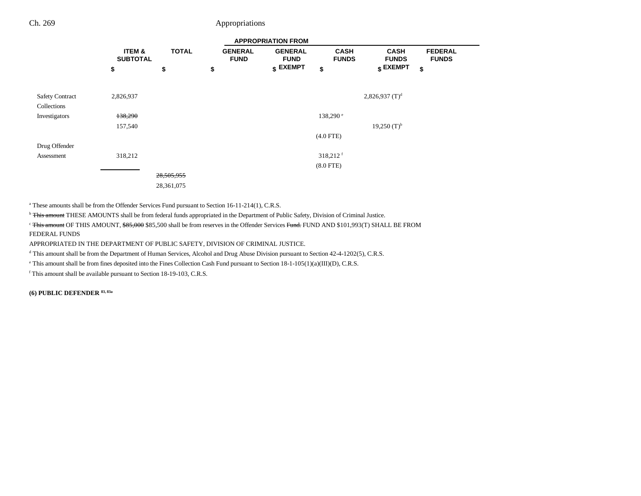|                        |                           | <b>APPROPRIATION FROM</b> |                               |                               |                             |                             |                                |  |
|------------------------|---------------------------|---------------------------|-------------------------------|-------------------------------|-----------------------------|-----------------------------|--------------------------------|--|
|                        | ITEM &<br><b>SUBTOTAL</b> | <b>TOTAL</b>              | <b>GENERAL</b><br><b>FUND</b> | <b>GENERAL</b><br><b>FUND</b> | <b>CASH</b><br><b>FUNDS</b> | <b>CASH</b><br><b>FUNDS</b> | <b>FEDERAL</b><br><b>FUNDS</b> |  |
|                        | \$                        | \$                        | \$                            | $$$ EXEMPT                    | \$                          | $$$ EXEMPT                  | \$                             |  |
|                        |                           |                           |                               |                               |                             |                             |                                |  |
| <b>Safety Contract</b> | 2,826,937                 |                           |                               |                               |                             | 2,826,937 $(T)^d$           |                                |  |
| Collections            |                           |                           |                               |                               |                             |                             |                                |  |
| Investigators          | 138,290                   |                           |                               |                               | 138,290 <sup>e</sup>        |                             |                                |  |
|                        | 157,540                   |                           |                               |                               |                             | $19,250$ (T) <sup>b</sup>   |                                |  |
|                        |                           |                           |                               |                               | $(4.0$ FTE)                 |                             |                                |  |
| Drug Offender          |                           |                           |                               |                               |                             |                             |                                |  |
| Assessment             | 318,212                   |                           |                               |                               | 318,212 <sup>f</sup>        |                             |                                |  |
|                        |                           |                           |                               |                               | $(8.0$ FTE $)$              |                             |                                |  |
|                        |                           | 28,505,955                |                               |                               |                             |                             |                                |  |
|                        |                           | 28,361,075                |                               |                               |                             |                             |                                |  |

<sup>a</sup> These amounts shall be from the Offender Services Fund pursuant to Section 16-11-214(1), C.R.S.

<sup>b</sup> This amount THESE AMOUNTS shall be from federal funds appropriated in the Department of Public Safety, Division of Criminal Justice.

<sup>c</sup> This amount OF THIS AMOUNT, \$85,000 \$85,500 shall be from reserves in the Offender Services Fund. FUND AND \$101,993(T) SHALL BE FROM FEDERAL FUNDS

APPROPRIATED IN THE DEPARTMENT OF PUBLIC SAFETY, DIVISION OF CRIMINAL JUSTICE.

<sup>d</sup> This amount shall be from the Department of Human Services, Alcohol and Drug Abuse Division pursuant to Section 42-4-1202(5), C.R.S.

e This amount shall be from fines deposited into the Fines Collection Cash Fund pursuant to Section 18-1-105(1)(a)(III)(D), C.R.S.

f This amount shall be available pursuant to Section 18-19-103, C.R.S.

**(6) PUBLIC DEFENDER 83, 83a**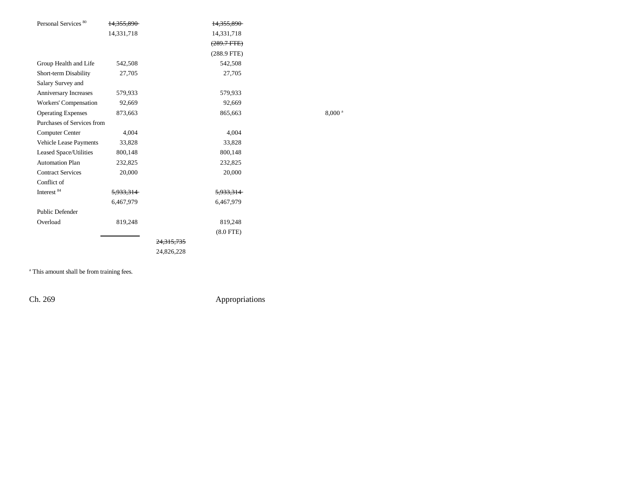| Personal Services <sup>80</sup> | 14,355,890           | 14,355,890            |                    |
|---------------------------------|----------------------|-----------------------|--------------------|
|                                 | 14,331,718           | 14,331,718            |                    |
|                                 |                      | $(289.7 \text{ FFE})$ |                    |
|                                 |                      | $(288.9$ FTE)         |                    |
| Group Health and Life           | 542,508              | 542,508               |                    |
| Short-term Disability           | 27,705               | 27,705                |                    |
| Salary Survey and               |                      |                       |                    |
| Anniversary Increases           | 579,933              | 579,933               |                    |
| Workers' Compensation           | 92,669               | 92,669                |                    |
| <b>Operating Expenses</b>       | 873,663              | 865,663               | 8,000 <sup>a</sup> |
| Purchases of Services from      |                      |                       |                    |
| Computer Center                 | 4,004                | 4,004                 |                    |
| Vehicle Lease Payments          | 33,828               | 33,828                |                    |
| Leased Space/Utilities          | 800,148              | 800,148               |                    |
| <b>Automation Plan</b>          | 232,825              | 232,825               |                    |
| <b>Contract Services</b>        | 20,000               | 20,000                |                    |
| Conflict of                     |                      |                       |                    |
| Interest 84                     | <del>5,933,314</del> | 5,933,314             |                    |
|                                 | 6,467,979            | 6,467,979             |                    |
| Public Defender                 |                      |                       |                    |
| Overload                        | 819,248              | 819,248               |                    |
|                                 |                      | $(8.0$ FTE)           |                    |
|                                 |                      | <del>24.315.735</del> |                    |
|                                 |                      | 24,826,228            |                    |
|                                 |                      |                       |                    |

<sup>a</sup> This amount shall be from training fees.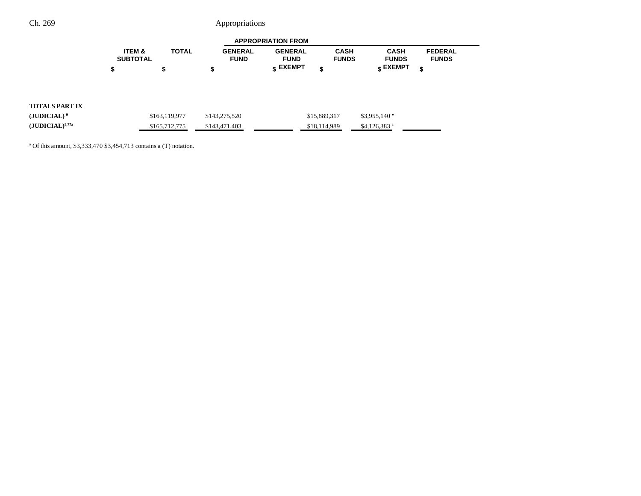| <b>APPROPRIATION FROM</b> |              |                |                 |              |              |                |  |
|---------------------------|--------------|----------------|-----------------|--------------|--------------|----------------|--|
| <b>ITEM &amp;</b>         | <b>TOTAL</b> | <b>GENERAL</b> | <b>GENERAL</b>  | CASH         | CASH         | <b>FEDERAL</b> |  |
| <b>SUBTOTAL</b>           |              | <b>FUND</b>    | <b>FUND</b>     | <b>FUNDS</b> | <b>FUNDS</b> | <b>FUNDS</b>   |  |
|                           |              |                | <b>« EXEMPT</b> |              | e EXEMPT ہ   |                |  |

## **TOTALS PART IX**

|                                  | \$163,119,977 | \$143,275,520 | \$15,889,317 | <del>\$3,955,140</del> * |
|----------------------------------|---------------|---------------|--------------|--------------------------|
| $({\rm JUDICIAL})^{8,77{\rm a}}$ | \$165,712,775 | \$143,471,403 | \$18,114,989 | \$4.126.383 $a$          |

<sup>a</sup> Of this amount,  $\frac{$3,333,470}{$3,454,713}$  contains a (T) notation.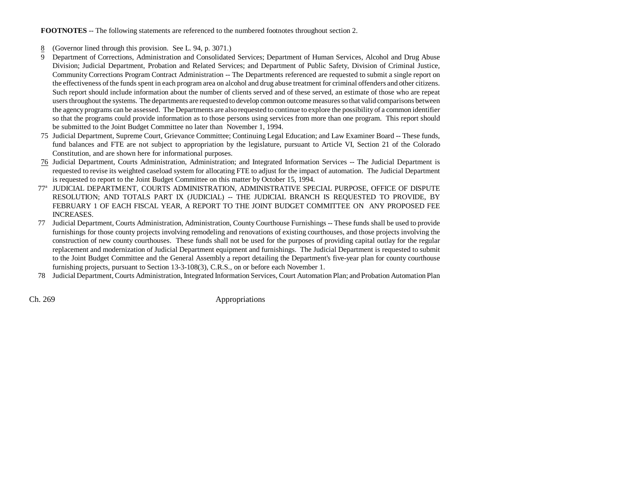**FOOTNOTES** -- The following statements are referenced to the numbered footnotes throughout section 2.

- 8(Governor lined through this provision. See L. 94, p. 3071.)
- 9 Department of Corrections, Administration and Consolidated Services; Department of Human Services, Alcohol and Drug Abuse Division; Judicial Department, Probation and Related Services; and Department of Public Safety, Division of Criminal Justice, Community Corrections Program Contract Administration -- The Departments referenced are requested to submit a single report on the effectiveness of the funds spent in each program area on alcohol and drug abuse treatment for criminal offenders and other citizens. Such report should include information about the number of clients served and of these served, an estimate of those who are repeat users throughout the systems. The departments are requested to develop common outcome measures so that valid comparisons between the agency programs can be assessed. The Departments are also requested to continue to explore the possibility of a common identifier so that the programs could provide information as to those persons using services from more than one program. This report should be submitted to the Joint Budget Committee no later than November 1, 1994.
- 75 Judicial Department, Supreme Court, Grievance Committee; Continuing Legal Education; and Law Examiner Board -- These funds, fund balances and FTE are not subject to appropriation by the legislature, pursuant to Article VI, Section 21 of the Colorado Constitution, and are shown here for informational purposes.
- 76 Judicial Department, Courts Administration, Administration; and Integrated Information Services -- The Judicial Department is requested to revise its weighted caseload system for allocating FTE to adjust for the impact of automation. The Judicial Department is requested to report to the Joint Budget Committee on this matter by October 15, 1994.
- 77a JUDICIAL DEPARTMENT, COURTS ADMINISTRATION, ADMINISTRATIVE SPECIAL PURPOSE, OFFICE OF DISPUTE RESOLUTION; AND TOTALS PART IX (JUDICIAL) -- THE JUDICIAL BRANCH IS REQUESTED TO PROVIDE, BY FEBRUARY 1 OF EACH FISCAL YEAR, A REPORT TO THE JOINT BUDGET COMMITTEE ON ANY PROPOSED FEE INCREASES.
- 77 Judicial Department, Courts Administration, Administration, County Courthouse Furnishings -- These funds shall be used to provide furnishings for those county projects involving remodeling and renovations of existing courthouses, and those projects involving the construction of new county courthouses. These funds shall not be used for the purposes of providing capital outlay for the regular replacement and modernization of Judicial Department equipment and furnishings. The Judicial Department is requested to submit to the Joint Budget Committee and the General Assembly a report detailing the Department's five-year plan for county courthouse furnishing projects, pursuant to Section 13-3-108(3), C.R.S., on or before each November 1.
- 78 Judicial Department, Courts Administration, Integrated Information Services, Court Automation Plan; and Probation Automation Plan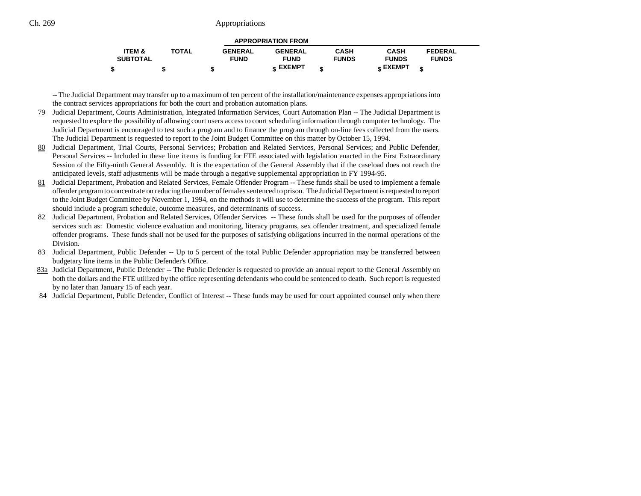| <b>APPROPRIATION FROM</b> |              |                |                |              |                 |                |  |  |
|---------------------------|--------------|----------------|----------------|--------------|-----------------|----------------|--|--|
| <b>ITEM &amp;</b>         | <b>TOTAL</b> | <b>GENERAL</b> | <b>GENERAL</b> | <b>CASH</b>  | <b>CASH</b>     | <b>FEDERAL</b> |  |  |
| <b>SUBTOTAL</b>           |              | <b>FUND</b>    | <b>FUND</b>    | <b>FUNDS</b> | <b>FUNDS</b>    | <b>FUNDS</b>   |  |  |
|                           |              |                | <b>EXEMPT</b>  |              | <b>« EXEMPT</b> | ¢              |  |  |

-- The Judicial Department may transfer up to a maximum of ten percent of the installation/maintenance expenses appropriations into the contract services appropriations for both the court and probation automation plans.

- 79 Judicial Department, Courts Administration, Integrated Information Services, Court Automation Plan -- The Judicial Department is requested to explore the possibility of allowing court users access to court scheduling information through computer technology. The Judicial Department is encouraged to test such a program and to finance the program through on-line fees collected from the users. The Judicial Department is requested to report to the Joint Budget Committee on this matter by October 15, 1994.
- 80 Judicial Department, Trial Courts, Personal Services; Probation and Related Services, Personal Services; and Public Defender, Personal Services -- Included in these line items is funding for FTE associated with legislation enacted in the First Extraordinary Session of the Fifty-ninth General Assembly. It is the expectation of the General Assembly that if the caseload does not reach the anticipated levels, staff adjustments will be made through a negative supplemental appropriation in FY 1994-95.
- 81 Judicial Department, Probation and Related Services, Female Offender Program -- These funds shall be used to implement a female offender program to concentrate on reducing the number of females sentenced to prison. The Judicial Department is requested to report to the Joint Budget Committee by November 1, 1994, on the methods it will use to determine the success of the program. This report should include a program schedule, outcome measures, and determinants of success.
- 82 Judicial Department, Probation and Related Services, Offender Services -- These funds shall be used for the purposes of offender services such as: Domestic violence evaluation and monitoring, literacy programs, sex offender treatment, and specialized female offender programs. These funds shall not be used for the purposes of satisfying obligations incurred in the normal operations of the Division.
- 83 Judicial Department, Public Defender -- Up to 5 percent of the total Public Defender appropriation may be transferred between budgetary line items in the Public Defender's Office.
- 83a Judicial Department, Public Defender -- The Public Defender is requested to provide an annual report to the General Assembly on both the dollars and the FTE utilized by the office representing defendants who could be sentenced to death. Such report is requested by no later than January 15 of each year.
	- 84 Judicial Department, Public Defender, Conflict of Interest -- These funds may be used for court appointed counsel only when there